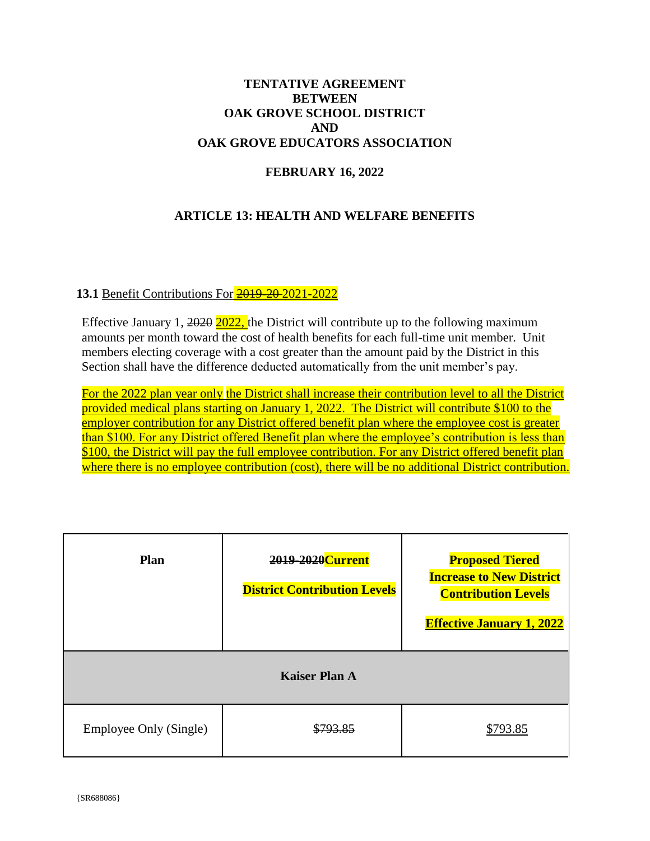## **TENTATIVE AGREEMENT BETWEEN** OAK GROVE SCHOOL DISTRICT **AND** OAK GROVE EDUCATORS ASSOCIATION

# **FEBRUARY 16, 2022**

## **ARTICLE 13: HEALTH AND WELFARE BENEFITS**

### 13.1 Benefit Contributions For 2019-20-2021-2022

Effective January 1,  $2020$   $2022$ , the District will contribute up to the following maximum amounts per month toward the cost of health benefits for each full-time unit member. Unit members electing coverage with a cost greater than the amount paid by the District in this Section shall have the difference deducted automatically from the unit member's pay.

For the 2022 plan year only the District shall increase their contribution level to all the District provided medical plans starting on January 1, 2022. The District will contribute \$100 to the employer contribution for any District offered benefit plan where the employee cost is greater than \$100. For any District offered Benefit plan where the employee's contribution is less than \$100, the District will pay the full employee contribution. For any District offered benefit plan where there is no employee contribution (cost), there will be no additional District contribution.

| <b>Plan</b>                   | 2019-2020 Current<br><b>District Contribution Levels</b> | <b>Proposed Tiered</b><br><b>Increase to New District</b><br><b>Contribution Levels</b><br><b>Effective January 1, 2022</b> |  |  |
|-------------------------------|----------------------------------------------------------|-----------------------------------------------------------------------------------------------------------------------------|--|--|
| <b>Kaiser Plan A</b>          |                                                          |                                                                                                                             |  |  |
| <b>Employee Only (Single)</b> |                                                          | \$793.85                                                                                                                    |  |  |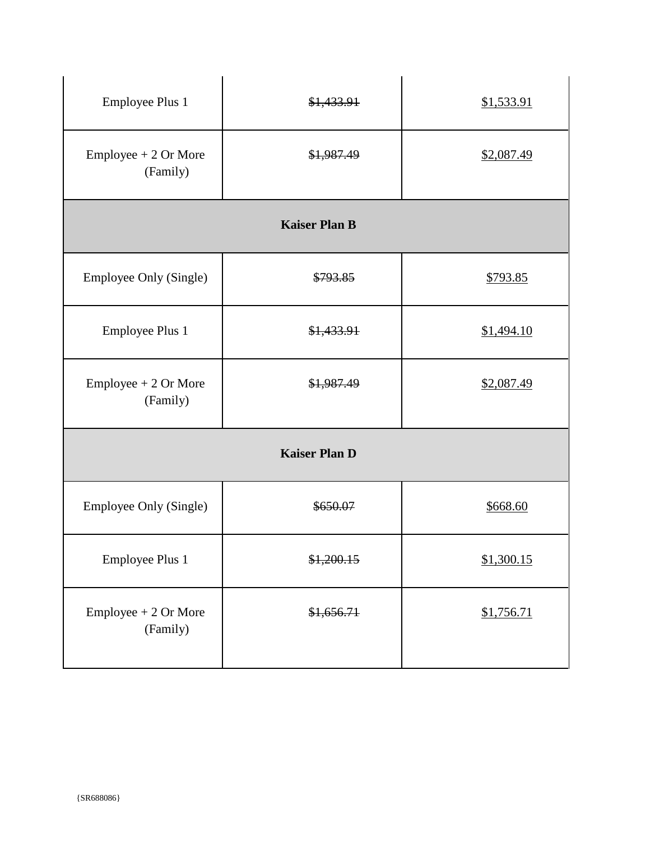| <b>Employee Plus 1</b>             | \$1,433.91 | \$1,533.91 |  |  |
|------------------------------------|------------|------------|--|--|
| Employee + 2 Or More<br>(Family)   | \$1,987.49 | \$2,087.49 |  |  |
| <b>Kaiser Plan B</b>               |            |            |  |  |
| <b>Employee Only (Single)</b>      | \$793.85   | \$793.85   |  |  |
| <b>Employee Plus 1</b>             | \$1,433.91 | \$1,494.10 |  |  |
| $Employee + 2 Or More$<br>(Family) | \$1,987.49 | \$2,087.49 |  |  |
| <b>Kaiser Plan D</b>               |            |            |  |  |
| Employee Only (Single)             | \$650.07   | \$668.60   |  |  |
| <b>Employee Plus 1</b>             | \$1,200.15 | \$1,300.15 |  |  |
| Employee + 2 Or More<br>(Family)   | \$1,656.71 | \$1,756.71 |  |  |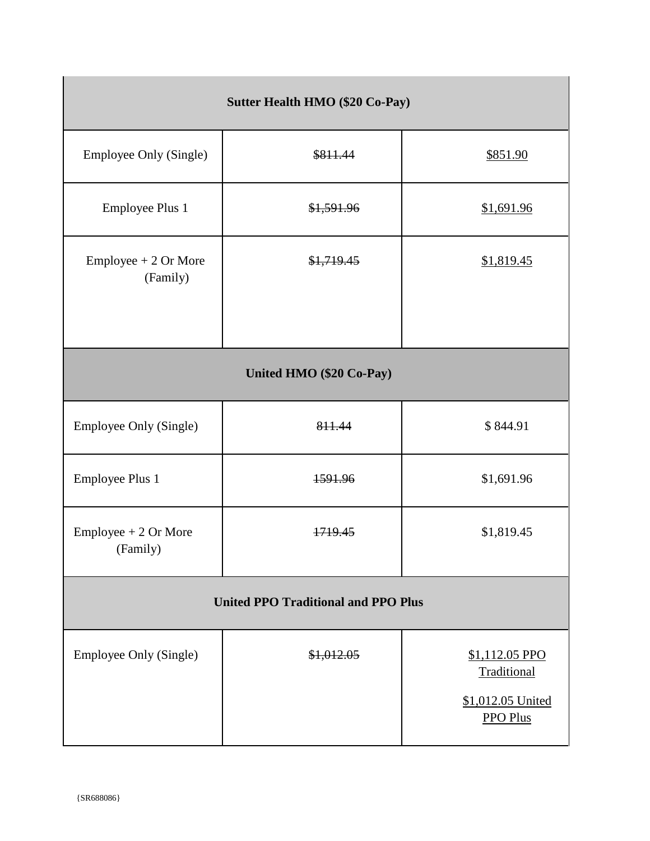| <b>Sutter Health HMO (\$20 Co-Pay)</b>     |            |                                                                       |  |  |
|--------------------------------------------|------------|-----------------------------------------------------------------------|--|--|
| <b>Employee Only (Single)</b>              | \$811.44   | \$851.90                                                              |  |  |
| <b>Employee Plus 1</b>                     | \$1,591.96 | \$1,691.96                                                            |  |  |
| $Employee + 2 Or More$<br>(Family)         | \$1,719.45 | \$1,819.45                                                            |  |  |
| United HMO (\$20 Co-Pay)                   |            |                                                                       |  |  |
| Employee Only (Single)                     | 811.44     | \$844.91                                                              |  |  |
| <b>Employee Plus 1</b>                     | 1591.96    | \$1,691.96                                                            |  |  |
| <b>Employee</b> + $2$ Or More<br>(Family)  | 1719.45    | \$1,819.45                                                            |  |  |
| <b>United PPO Traditional and PPO Plus</b> |            |                                                                       |  |  |
| Employee Only (Single)                     | \$1,012.05 | \$1,112.05 PPO<br>Traditional<br>\$1,012.05 United<br><b>PPO Plus</b> |  |  |